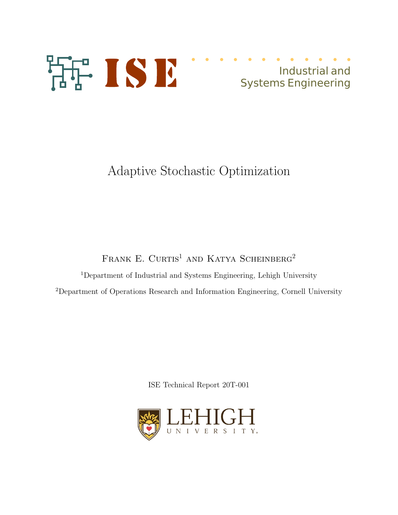

# Industrial and Systems Engineering

# Adaptive Stochastic Optimization

FRANK E. CURTIS<sup>1</sup> AND KATYA SCHEINBERG<sup>2</sup>

 $^1$ Department of Industrial and Systems Engineering, Lehigh University <sup>2</sup>Department of Operations Research and Information Engineering, Cornell University

ISE Technical Report 20T-001

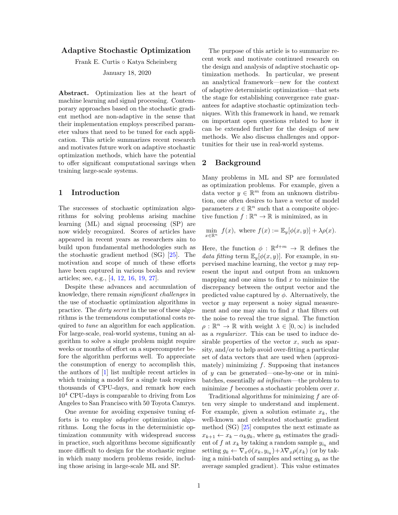# Adaptive Stochastic Optimization

Frank E. Curtis ◦ Katya Scheinberg January 18, 2020

Abstract. Optimization lies at the heart of machine learning and signal processing. Contemporary approaches based on the stochastic gradient method are non-adaptive in the sense that their implementation employs prescribed parameter values that need to be tuned for each application. This article summarizes recent research and motivates future work on adaptive stochastic optimization methods, which have the potential to offer significant computational savings when training large-scale systems.

# 1 Introduction

The successes of stochastic optimization algorithms for solving problems arising machine learning (ML) and signal processing (SP) are now widely recognized. Scores of articles have appeared in recent years as researchers aim to build upon fundamental methodologies such as the stochastic gradient method (SG) [25]. The motivation and scope of much of these efforts have been captured in various books and review articles; see, e.g., [4, 12, 16, 19, 27].

Despite these advances and accumulation of knowledge, there remain significant challenges in the use of stochastic optimization algorithms in practice. The dirty secret in the use of these algorithms is the tremendous computational costs required to *tune* an algorithm for each application. For large-scale, real-world systems, tuning an algorithm to solve a single problem might require weeks or months of effort on a supercomputer before the algorithm performs well. To appreciate the consumption of energy to accomplish this, the authors of [1] list multiple recent articles in which training a model for a single task requires thousands of CPU-days, and remark how each 10<sup>4</sup> CPU-days is comparable to driving from Los Angeles to San Francisco with 50 Toyota Camrys.

One avenue for avoiding expensive tuning efforts is to employ *adaptive* optimization algorithms. Long the focus in the deterministic optimization community with widespread success in practice, such algorithms become significantly more difficult to design for the stochastic regime in which many modern problems reside, including those arising in large-scale ML and SP.

The purpose of this article is to summarize recent work and motivate continued research on the design and analysis of adaptive stochastic optimization methods. In particular, we present an analytical framework—new for the context of adaptive deterministic optimization—that sets the stage for establishing convergence rate guarantees for adaptive stochastic optimization techniques. With this framework in hand, we remark on important open questions related to how it can be extended further for the design of new methods. We also discuss challenges and opportunities for their use in real-world systems.

# 2 Background

Many problems in ML and SP are formulated as optimization problems. For example, given a data vector  $y \in \mathbb{R}^m$  from an unknown distribution, one often desires to have a vector of model parameters  $x \in \mathbb{R}^n$  such that a composite objective function  $f : \mathbb{R}^n \to \mathbb{R}$  is minimized, as in

$$
\min_{x \in \mathbb{R}^n} f(x), \text{ where } f(x) := \mathbb{E}_y[\phi(x, y)] + \lambda \rho(x).
$$

Here, the function  $\phi : \mathbb{R}^{d+m} \to \mathbb{R}$  defines the data fitting term  $\mathbb{E}_{y}[\phi(x, y)]$ . For example, in supervised machine learning, the vector y may represent the input and output from an unknown mapping and one aims to find  $x$  to minimize the discrepancy between the output vector and the predicted value captured by  $\phi$ . Alternatively, the vector y may represent a noisy signal measurement and one may aim to find  $x$  that filters out the noise to reveal the true signal. The function  $\rho : \mathbb{R}^n \to \mathbb{R}$  with weight  $\lambda \in [0, \infty)$  is included as a regularizer. This can be used to induce desirable properties of the vector  $x$ , such as sparsity, and/or to help avoid over-fitting a particular set of data vectors that are used when (approximately) minimizing  $f$ . Supposing that instances of  $y$  can be generated—one-by-one or in minibatches, essentially ad infinitum—the problem to minimize  $f$  becomes a stochastic problem over  $x$ .

Traditional algorithms for minimizing f are often very simple to understand and implement. For example, given a solution estimate  $x_k$ , the well-known and celebrated stochastic gradient method (SG) [25] computes the next estimate as  $x_{k+1} \leftarrow x_k - \alpha_k g_k$ , where  $g_k$  estimates the gradient of f at  $x_k$  by taking a random sample  $y_{i_k}$  and setting  $g_k \leftarrow \nabla_x \phi(x_k, y_{i_k}) + \lambda \nabla_x \rho(x_k)$  (or by taking a mini-batch of samples and setting  $q_k$  as the average sampled gradient). This value estimates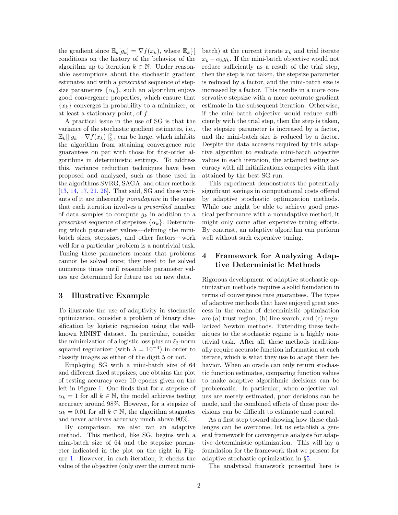the gradient since  $\mathbb{E}_k[g_k] = \nabla f(x_k)$ , where  $\mathbb{E}_k[\cdot]$ conditions on the history of the behavior of the algorithm up to iteration  $k \in \mathbb{N}$ . Under reasonable assumptions about the stochastic gradient estimates and with a *prescribed* sequence of stepsize parameters  $\{\alpha_k\}$ , such an algorithm enjoys good convergence properties, which ensure that  ${x_k}$  converges in probability to a minimizer, or at least a stationary point, of  $f$ .

A practical issue in the use of SG is that the variance of the stochastic gradient estimates, i.e.,  $\mathbb{E}_k[\Vert g_k - \nabla f(x_k) \Vert_2^2]$ , can be large, which inhibits the algorithm from attaining convergence rate guarantees on par with those for first-order algorithms in deterministic settings. To address this, variance reduction techniques have been proposed and analyzed, such as those used in the algorithms SVRG, SAGA, and other methods [13, 14, 17, 21, 26]. That said, SG and these variants of it are inherently nonadaptive in the sense that each iteration involves a prescribed number of data samples to compute  $g_k$  in addition to a prescribed sequence of stepsizes  $\{\alpha_k\}$ . Determining which parameter values—defining the minibatch sizes, stepsizes, and other factors—work well for a particular problem is a nontrivial task. Tuning these parameters means that problems cannot be solved once; they need to be solved numerous times until reasonable parameter values are determined for future use on new data.

# 3 Illustrative Example

To illustrate the use of adaptivity in stochastic optimization, consider a problem of binary classification by logistic regression using the wellknown MNIST dataset. In particular, consider the minimization of a logistic loss plus an  $\ell_2$ -norm squared regularizer (with  $\lambda = 10^{-4}$ ) in order to classify images as either of the digit 5 or not.

Employing SG with a mini-batch size of 64 and different fixed stepsizes, one obtains the plot of testing accuracy over 10 epochs given on the left in Figure 1. One finds that for a stepsize of  $\alpha_k = 1$  for all  $k \in \mathbb{N}$ , the model achieves testing accuracy around 98%. However, for a stepsize of  $\alpha_k = 0.01$  for all  $k \in \mathbb{N}$ , the algorithm stagnates and never achieves accuracy much above 90%.

By comparison, we also ran an adaptive method. This method, like SG, begins with a mini-batch size of 64 and the stepsize parameter indicated in the plot on the right in Figure 1. However, in each iteration, it checks the value of the objective (only over the current minibatch) at the current iterate  $x_k$  and trial iterate  $x_k - \alpha_k g_k$ . If the mini-batch objective would not reduce sufficiently as a result of the trial step, then the step is not taken, the stepsize parameter is reduced by a factor, and the mini-batch size is increased by a factor. This results in a more conservative stepsize with a more accurate gradient estimate in the subsequent iteration. Otherwise, if the mini-batch objective would reduce sufficiently with the trial step, then the step is taken, the stepsize parameter is increased by a factor, and the mini-batch size is reduced by a factor. Despite the data accesses required by this adaptive algorithm to evaluate mini-batch objective values in each iteration, the attained testing accuracy with all initializations competes with that attained by the best SG run.

This experiment demonstrates the potentially significant savings in computational costs offered by adaptive stochastic optimization methods. While one might be able to achieve good practical performance with a nonadaptive method, it might only come after expensive tuning efforts. By contrast, an adaptive algorithm can perform well without such expensive tuning.

# 4 Framework for Analyzing Adaptive Deterministic Methods

Rigorous development of adaptive stochastic optimization methods requires a solid foundation in terms of convergence rate guarantees. The types of adaptive methods that have enjoyed great success in the realm of deterministic optimization are (a) trust region, (b) line search, and (c) regularized Newton methods. Extending these techniques to the stochastic regime is a highly nontrivial task. After all, these methods traditionally require accurate function information at each iterate, which is what they use to adapt their behavior. When an oracle can only return stochastic function estimates, comparing function values to make adaptive algorithmic decisions can be problematic. In particular, when objective values are merely estimated, poor decisions can be made, and the combined effects of these poor decisions can be difficult to estimate and control.

As a first step toward showing how these challenges can be overcome, let us establish a general framework for convergence analysis for adaptive deterministic optimization. This will lay a foundation for the framework that we present for adaptive stochastic optimization in §5.

The analytical framework presented here is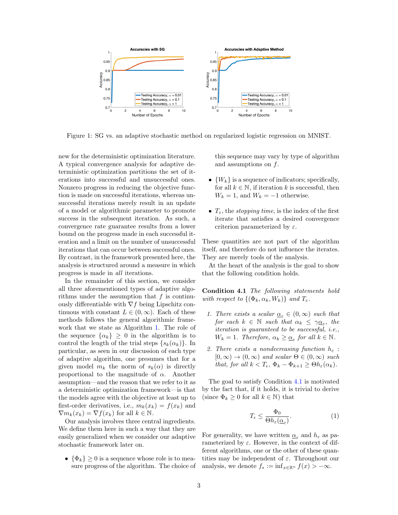

Figure 1: SG vs. an adaptive stochastic method on regularized logistic regression on MNIST.

new for the deterministic optimization literature. A typical convergence analysis for adaptive deterministic optimization partitions the set of iterations into successful and unsuccessful ones. Nonzero progress in reducing the objective function is made on successful iterations, whereas unsuccessful iterations merely result in an update of a model or algorithmic parameter to promote success in the subsequent iteration. As such, a convergence rate guarantee results from a lower bound on the progress made in each successful iteration and a limit on the number of unsuccessful iterations that can occur between successful ones. By contrast, in the framework presented here, the analysis is structured around a measure in which progress is made in all iterations.

In the remainder of this section, we consider all three aforementioned types of adaptive algorithms under the assumption that  $f$  is continuously differentiable with  $\nabla f$  being Lipschitz continuous with constant  $L \in (0, \infty)$ . Each of these methods follows the general algorithmic framework that we state as Algorithm 1. The role of the sequence  $\{\alpha_k\} \geq 0$  in the algorithm is to control the length of the trial steps  $\{s_k(\alpha_k)\}\$ . In particular, as seen in our discussion of each type of adaptive algorithm, one presumes that for a given model  $m_k$  the norm of  $s_k(\alpha)$  is directly proportional to the magnitude of  $\alpha$ . Another assumption—and the reason that we refer to it as a deterministic optimization framework—is that the models agree with the objective at least up to first-order derivatives, i.e.,  $m_k(x_k) = f(x_k)$  and  $\nabla m_k(x_k) = \nabla f(x_k)$  for all  $k \in \mathbb{N}$ .

Our analysis involves three central ingredients. We define them here in such a way that they are easily generalized when we consider our adaptive stochastic framework later on.

•  $\{\Phi_k\} \geq 0$  is a sequence whose role is to measure progress of the algorithm. The choice of this sequence may vary by type of algorithm and assumptions on  $f$ .

- $\{W_k\}$  is a sequence of indicators; specifically, for all  $k \in \mathbb{N}$ , if iteration k is successful, then  $W_k = 1$ , and  $W_k = -1$  otherwise.
- $T_{\varepsilon}$ , the *stopping time*, is the index of the first iterate that satisfies a desired convergence criterion parameterized by  $\varepsilon$ .

These quantities are not part of the algorithm itself, and therefore do not influence the iterates. They are merely tools of the analysis.

At the heart of the analysis is the goal to show that the following condition holds.

Condition 4.1 The following statements hold with respect to  $\{(\Phi_k, \alpha_k, W_k)\}\$  and  $T_{\varepsilon}$ .

- 1. There exists a scalar  $\underline{\alpha}_{\varepsilon} \in (0,\infty)$  such that for each  $k \in \mathbb{N}$  such that  $\alpha_k \leq \gamma \underline{\alpha}_{\varepsilon}$ , the iteration is guaranteed to be successful, i.e.,  $W_k = 1$ . Therefore,  $\alpha_k \geq \underline{\alpha}_{\varepsilon}$  for all  $k \in \mathbb{N}$ .
- 2. There exists a nondecreasing function  $h_{\varepsilon}$ :  $[0, \infty) \rightarrow (0, \infty)$  and scalar  $\Theta \in (0, \infty)$  such that, for all  $k < T_{\epsilon}$ ,  $\Phi_k - \Phi_{k+1} \geq \Theta h_{\epsilon}(\alpha_k)$ .

The goal to satisfy Condition 4.1 is motivated by the fact that, if it holds, it is trivial to derive (since  $\Phi_k \geq 0$  for all  $k \in \mathbb{N}$ ) that

$$
T_{\epsilon} \le \frac{\Phi_0}{\Theta h_{\epsilon}(\underline{\alpha}_{\varepsilon})}.\tag{1}
$$

For generality, we have written  $\underline{\alpha}_{\varepsilon}$  and  $h_{\varepsilon}$  as parameterized by  $\varepsilon$ . However, in the context of different algorithms, one or the other of these quantities may be independent of  $\varepsilon$ . Throughout our analysis, we denote  $f_* := \inf_{x \in \mathbb{R}^n} f(x) > -\infty$ .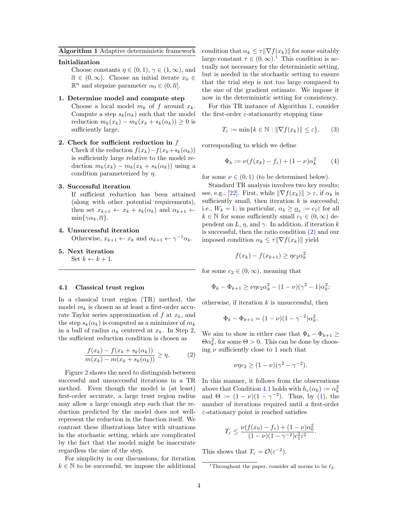## Algorithm 1 Adaptive deterministic framework

## Initialization

Choose constants  $\eta \in (0,1), \gamma \in (1,\infty)$ , and  $\overline{\alpha} \in (0,\infty)$ . Choose an initial iterate  $x_0 \in$  $\mathbb{R}^n$  and stepsize parameter  $\alpha_0 \in (0, \overline{\alpha}]$ .

## 1. Determine model and compute step

Choose a local model  $m_k$  of f around  $x_k$ . Compute a step  $s_k(\alpha_k)$  such that the model reduction  $m_k(x_k) - m_k(x_k + s_k(\alpha_k)) \geq 0$  is sufficiently large.

# 2. Check for sufficient reduction in  $f$

Check if the reduction  $f(x_k)-f(x_k+s_k(\alpha_k))$ is sufficiently large relative to the model reduction  $m_k(x_k) - m_k(x_k + s_k(\alpha_k))$  using a condition parameterized by  $\eta$ .

# 3. Successful iteration

If sufficient reduction has been attained (along with other potential requirements), then set  $x_{k+1} \leftarrow x_k + s_k(\alpha_k)$  and  $\alpha_{k+1} \leftarrow$  $\min\{\gamma\alpha_k, \overline{\alpha}\}.$ 

# 4. Unsuccessful iteration

Otherwise,  $x_{k+1} \leftarrow x_k$  and  $\alpha_{k+1} \leftarrow \gamma^{-1} \alpha_k$ .

5. Next iteration Set  $k \leftarrow k + 1$ .

## 4.1 Classical trust region

In a classical trust region (TR) method, the model  $m_k$  is chosen as at least a first-order accurate Taylor series approximation of  $f$  at  $x_k$ , and the step  $s_k(\alpha_k)$  is computed as a minimizer of  $m_k$ in a ball of radius  $\alpha_k$  centered at  $x_k$ . In Step 2, the sufficient reduction condition is chosen as

$$
\frac{f(x_k) - f(x_k + s_k(\alpha_k))}{m(x_k) - m(x_k + s_k(\alpha_k))} \ge \eta.
$$
 (2)

Figure 2 shows the need to distinguish between successful and unsuccessful iterations in a TR method. Even though the model is (at least) first-order accurate, a large trust region radius may allow a large enough step such that the reduction predicted by the model does not wellrepresent the reduction in the function itself. We contrast these illustrations later with situations in the stochastic setting, which are complicated by the fact that the model might be inaccurate regardless the size of the step.

For simplicity in our discussions, for iteration  $k \in \mathbb{N}$  to be successful, we impose the additional condition that  $\alpha_k \leq \tau \|\nabla f(x_k)\|$  for some suitably large constant  $\tau \in (0,\infty)$ .<sup>1</sup> This condition is actually not necessary for the deterministic setting, but is needed in the stochastic setting to ensure that the trial step is not too large compared to the size of the gradient estimate. We impose it now in the deterministic setting for consistency.

For this TR instance of Algorithm 1, consider the first-order  $\varepsilon\text{-stationarity stopping time}$ 

$$
T_{\varepsilon} := \min\{k \in \mathbb{N} : \|\nabla f(x_k)\| \le \varepsilon\},\qquad(3)
$$

corresponding to which we define

$$
\Phi_k := \nu(f(x_k) - f_*) + (1 - \nu)\alpha_k^2 \tag{4}
$$

for some  $\nu \in (0,1)$  (to be determined below).

Standard TR analysis involves two key results; see, e.g., [22]. First, while  $\|\nabla f(x_k)\| > \varepsilon$ , if  $\alpha_k$  is sufficiently small, then iteration  $k$  is successful, i.e.,  $W_k = 1$ ; in particular,  $\alpha_k \geq \underline{\alpha}_{\varepsilon} := c_1 \varepsilon$  for all  $k \in \mathbb{N}$  for some sufficiently small  $c_1 \in (0, \infty)$  dependent on L,  $\eta$ , and  $\gamma$ . In addition, if iteration k is successful, then the ratio condition (2) and our imposed condition  $\alpha_k \leq \tau \|\nabla f(x_k)\|$  yield

$$
f(x_k) - f(x_{k+1}) \ge \eta c_2 \alpha_k^2
$$

for some  $c_2 \in (0, \infty)$ , meaning that

$$
\Phi_k - \Phi_{k+1} \ge \nu \eta c_2 \alpha_k^2 - (1 - \nu)(\gamma^2 - 1)\alpha_k^2;
$$

otherwise, if iteration  $k$  is unsuccessful, then

$$
\Phi_k - \Phi_{k+1} = (1 - \nu)(1 - \gamma^{-2})\alpha_k^2.
$$

We aim to show in either case that  $\Phi_k - \Phi_{k+1} \geq$  $\Theta \alpha_k^2$ , for some  $\Theta > 0$ . This can be done by choosing  $\nu$  sufficiently close to 1 such that

$$
\nu\eta c_2 \ge (1-\nu)(\gamma^2 - \gamma^{-2}).
$$

In this manner, it follows from the observations above that Condition 4.1 holds with  $h_{\varepsilon}(\alpha_k) := \alpha_k^2$ and  $\Theta := (1 - \nu)(1 - \gamma^{-2})$ . Thus, by (1), the number of iterations required until a first-order  $\varepsilon$ -stationary point is reached satisfies

$$
T_{\varepsilon} \le \frac{\nu(f(x_0) - f_*) + (1 - \nu)\alpha_0^2}{(1 - \nu)(1 - \gamma^{-2})c_1^2 \varepsilon^2}.
$$

This shows that  $T_{\varepsilon} = \mathcal{O}(\varepsilon^{-2}).$ 

<sup>&</sup>lt;sup>1</sup>Throughout the paper, consider all norms to be  $\ell_2$ .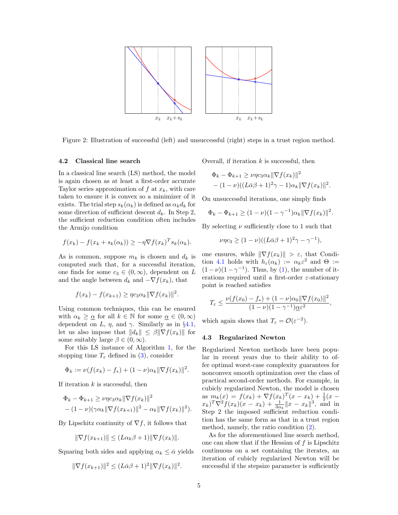

Figure 2: Illustration of successful (left) and unsuccessful (right) steps in a trust region method.

## 4.2 Classical line search

In a classical line search (LS) method, the model is again chosen as at least a first-order accurate Taylor series approximation of  $f$  at  $x_k$ , with care taken to ensure it is convex so a minimizer of it exists. The trial step  $s_k(\alpha_k)$  is defined as  $\alpha_k d_k$  for some direction of sufficient descent  $d_k$ . In Step 2, the sufficient reduction condition often includes the Armijo condition

$$
f(x_k) - f(x_k + s_k(\alpha_k)) \ge -\eta \nabla f(x_k)^T s_k(\alpha_k).
$$

As is common, suppose  $m_k$  is chosen and  $d_k$  is computed such that, for a successful iteration, one finds for some  $c_3 \in (0, \infty)$ , dependent on L and the angle between  $d_k$  and  $-\nabla f(x_k)$ , that

$$
f(x_k) - f(x_{k+1}) \ge \eta c_3 \alpha_k \|\nabla f(x_k)\|^2.
$$

Using common techniques, this can be ensured with  $\alpha_k \geq \underline{\alpha}$  for all  $k \in \mathbb{N}$  for some  $\underline{\alpha} \in (0, \infty)$ dependent on L,  $\eta$ , and  $\gamma$ . Similarly as in §4.1, let us also impose that  $||d_k|| \leq \beta ||\nabla f(x_k)||$  for some suitably large  $\beta \in (0, \infty)$ .

For this LS instance of Algorithm 1, for the stopping time  $T_{\varepsilon}$  defined in (3), consider

$$
\Phi_k := \nu(f(x_k) - f_*) + (1 - \nu)\alpha_k \|\nabla f(x_k)\|^2.
$$

If iteration  $k$  is successful, then

$$
\Phi_k - \Phi_{k+1} \ge \nu \eta c_3 \alpha_k \|\nabla f(x_k)\|^2 - (1 - \nu)(\gamma \alpha_k \|\nabla f(x_{k+1})\|^2 - \alpha_k \|\nabla f(x_k)\|^2).
$$

By Lipschitz continuity of  $\nabla f$ , it follows that

$$
\|\nabla f(x_{k+1})\| \le (L\alpha_k \beta + 1) \|\nabla f(x_k)\|.
$$

Squaring both sides and applying  $\alpha_k \leq \overline{\alpha}$  yields

$$
\|\nabla f(x_{k+1})\|^2 \le (L\bar{\alpha}\beta + 1)^2 \|\nabla f(x_k)\|^2.
$$

Overall, if iteration  $k$  is successful, then

$$
\Phi_k - \Phi_{k+1} \ge \nu \eta c_3 \alpha_k \|\nabla f(x_k)\|^2 - (1 - \nu) ((L\bar{\alpha}\beta + 1)^2 \gamma - 1)\alpha_k \|\nabla f(x_k)\|^2.
$$

On unsuccessful iterations, one simply finds

$$
\Phi_k - \Phi_{k+1} \ge (1 - \nu)(1 - \gamma^{-1})\alpha_k \|\nabla f(x_k)\|^2.
$$

By selecting  $\nu$  sufficiently close to 1 such that

$$
\nu\eta c_3 \ge (1-\nu)((L\bar{\alpha}\beta + 1)^2\gamma - \gamma^{-1}),
$$

one ensures, while  $\|\nabla f(x_k)\| > \varepsilon$ , that Condition 4.1 holds with  $h_{\varepsilon}(\alpha_k) := \alpha_k \varepsilon^2$  and  $\Theta :=$  $(1 - \nu)(1 - \gamma^{-1})$ . Thus, by (1), the number of iterations required until a first-order  $\varepsilon$ -stationary point is reached satisfies

$$
T_{\varepsilon} \le \frac{\nu(f(x_0) - f_*) + (1 - \nu)\alpha_0 \|\nabla f(x_0)\|^2}{(1 - \nu)(1 - \gamma^{-1})\underline{\alpha}\varepsilon^2},
$$

which again shows that  $T_{\varepsilon} = \mathcal{O}(\varepsilon^{-2}).$ 

## 4.3 Regularized Newton

Regularized Newton methods have been popular in recent years due to their ability to offer optimal worst-case complexity guarantees for nonconvex smooth optimization over the class of practical second-order methods. For example, in cubicly regularized Newton, the model is chosen as  $m_k(x) = f(x_k) + \nabla f(x_k)^T (x - x_k) + \frac{1}{2}(x - x_k)$  $(x_k)^T \nabla^2 f(x_k)(x - x_k) + \frac{1}{3\alpha_k} ||x - x_k||^3$ , and in Step 2 the imposed sufficient reduction condition has the same form as that in a trust region method, namely, the ratio condition (2).

As for the aforementioned line search method, one can show that if the Hessian of  $f$  is Lipschitz continuous on a set containing the iterates, an iteration of cubicly regularized Newton will be successful if the stepsize parameter is sufficiently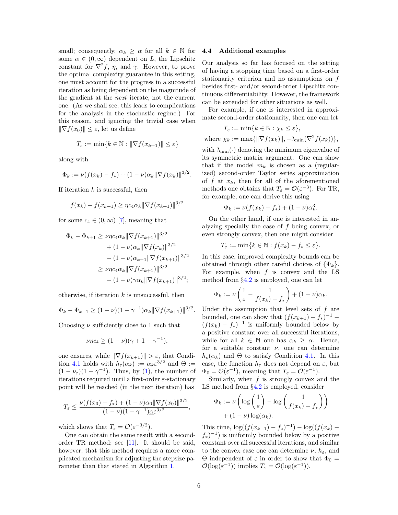small; consequently,  $\alpha_k \geq \alpha$  for all  $k \in \mathbb{N}$  for some  $\underline{\alpha} \in (0, \infty)$  dependent on L, the Lipschitz constant for  $\nabla^2 f$ ,  $\eta$ , and  $\gamma$ . However, to prove the optimal complexity guarantee in this setting, one must account for the progress in a successful iteration as being dependent on the magnitude of the gradient at the next iterate, not the current one. (As we shall see, this leads to complications for the analysis in the stochastic regime.) For this reason, and ignoring the trivial case when  $\|\nabla f(x_0)\| \leq \varepsilon$ , let us define

$$
T_{\varepsilon} := \min\{k \in \mathbb{N} : \|\nabla f(x_{k+1})\| \le \varepsilon\}
$$

along with

$$
\Phi_k := \nu(f(x_k) - f_*) + (1 - \nu)\alpha_k \|\nabla f(x_k)\|^{3/2}.
$$

If iteration  $k$  is successful, then

$$
f(x_k) - f(x_{k+1}) \ge \eta c_4 \alpha_k \|\nabla f(x_{k+1})\|^{3/2}
$$

for some  $c_4 \in (0, \infty)$  [7], meaning that

$$
\Phi_k - \Phi_{k+1} \ge \nu \eta c_4 \alpha_k \|\nabla f(x_{k+1})\|^{3/2} \n+ (1 - \nu)\alpha_k \|\nabla f(x_k)\|^{3/2} \n- (1 - \nu)\alpha_{k+1} \|\nabla f(x_{k+1})\|^{3/2} \n\ge \nu \eta c_4 \alpha_k \|\nabla f(x_{k+1})\|^{3/2} \n- (1 - \nu)\gamma \alpha_k \|\nabla f(x_{k+1})\|^{3/2};
$$

otherwise, if iteration  $k$  is unsuccessful, then

$$
\Phi_k - \Phi_{k+1} \ge (1 - \nu)(1 - \gamma^{-1})\alpha_k \|\nabla f(x_{k+1})\|^{3/2}.
$$

Choosing  $\nu$  sufficiently close to 1 such that

$$
\nu\eta c_4 \ge (1-\nu)(\gamma+1-\gamma^{-1}),
$$

one ensures, while  $\|\nabla f(x_{k+1})\| > \varepsilon$ , that Condition 4.1 holds with  $h_{\varepsilon}(\alpha_k) := \alpha_k \varepsilon^{3/2}$  and  $\Theta :=$  $(1 - \nu_{\varepsilon})(1 - \gamma^{-1})$ . Thus, by (1), the number of iterations required until a first-order  $\varepsilon$ -stationary point will be reached (in the next iteration) has

$$
T_{\varepsilon} \le \frac{\nu(f(x_0) - f_*) + (1 - \nu)\alpha_0 \|\nabla f(x_0)\|^{3/2}}{(1 - \nu)(1 - \gamma^{-1})\alpha \varepsilon^{3/2}},
$$

which shows that  $T_{\varepsilon} = \mathcal{O}(\varepsilon^{-3/2}).$ 

One can obtain the same result with a secondorder TR method; see [11]. It should be said, however, that this method requires a more complicated mechanism for adjusting the stepsize parameter than that stated in Algorithm 1.

### 4.4 Additional examples

Our analysis so far has focused on the setting of having a stopping time based on a first-order stationarity criterion and no assumptions on f besides first- and/or second-order Lipschitz continuous differentiability. However, the framework can be extended for other situations as well.

For example, if one is interested in approximate second-order stationarity, then one can let

$$
T_{\varepsilon} := \min\{k \in \mathbb{N} : \chi_k \leq \varepsilon\},\
$$
  
where  $\chi_k := \max\{\|\nabla f(x_k)\|, -\lambda_{\min}(\nabla^2 f(x_k))\},\$ 

with  $\lambda_{\min}(\cdot)$  denoting the minimum eigenvalue of its symmetric matrix argument. One can show that if the model  $m_k$  is chosen as a (regularized) second-order Taylor series approximation of f at  $x_k$ , then for all of the aforementioned methods one obtains that  $T_{\varepsilon} = \mathcal{O}(\varepsilon^{-3})$ . For TR, for example, one can derive this using

$$
\Phi_k := \nu(f(x_k) - f_*) + (1 - \nu)\alpha_k^3.
$$

On the other hand, if one is interested in analyzing specially the case of f being convex, or even strongly convex, then one might consider

$$
T_{\varepsilon} := \min\{k \in \mathbb{N} : f(x_k) - f_* \leq \varepsilon\}.
$$

In this case, improved complexity bounds can be obtained through other careful choices of  $\{\Phi_k\}$ . For example, when  $f$  is convex and the LS method from §4.2 is employed, one can let

$$
\Phi_k := \nu \left( \frac{1}{\varepsilon} - \frac{1}{f(x_k) - f_*} \right) + (1 - \nu) \alpha_k.
$$

Under the assumption that level sets of  $f$  are bounded, one can show that  $(f(x_{k+1}) - f_*)^{-1}$  –  $(f(x_k) - f_*)^{-1}$  is uniformly bounded below by a positive constant over all successful iterations, while for all  $k \in \mathbb{N}$  one has  $\alpha_k \geq \alpha$ . Hence, for a suitable constant  $\nu$ , one can determine  $h_{\varepsilon}(\alpha_k)$  and  $\Theta$  to satisfy Condition 4.1. In this case, the function  $h_{\varepsilon}$  does not depend on  $\varepsilon$ , but  $\Phi_0 = \mathcal{O}(\varepsilon^{-1}),$  meaning that  $T_\varepsilon = \mathcal{O}(\varepsilon^{-1}).$ 

Similarly, when  $f$  is strongly convex and the LS method from §4.2 is employed, consider

$$
\Phi_k := \nu \left( \log \left( \frac{1}{\varepsilon} \right) - \log \left( \frac{1}{f(x_k) - f_*} \right) \right) + (1 - \nu) \log(\alpha_k).
$$

This time,  $\log((f(x_{k+1}) - f_*)^{-1}) - \log((f(x_k) (f_*)^{-1}$ ) is uniformly bounded below by a positive constant over all successful iterations, and similar to the convex case one can determine  $\nu$ ,  $h_{\varepsilon}$ , and Θ independent of  $\varepsilon$  in order to show that  $\Phi_0 =$  $\mathcal{O}(\log(\varepsilon^{-1}))$  implies  $T_{\varepsilon} = \mathcal{O}(\log(\varepsilon^{-1}))$ .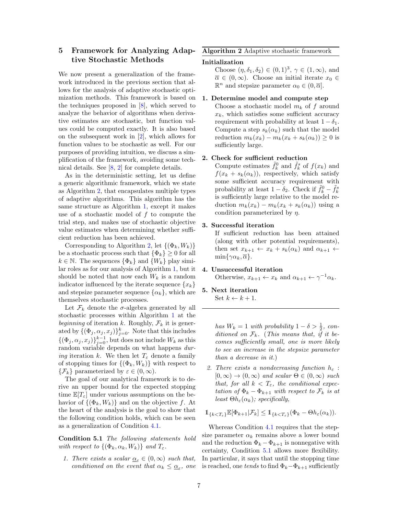# 5 Framework for Analyzing Adaptive Stochastic Methods

We now present a generalization of the framework introduced in the previous section that allows for the analysis of adaptive stochastic optimization methods. This framework is based on the techniques proposed in [8], which served to analyze the behavior of algorithms when derivative estimates are stochastic, but function values could be computed exactly. It is also based on the subsequent work in [2], which allows for function values to be stochastic as well. For our purposes of providing intuition, we discuss a simplification of the framework, avoiding some technical details. See [8, 2] for complete details.

As in the deterministic setting, let us define a generic algorithmic framework, which we state as Algorithm 2, that encapsulates multiple types of adaptive algorithms. This algorithm has the same structure as Algorithm 1, except it makes use of a stochastic model of f to compute the trial step, and makes use of stochastic objective value estimates when determining whether sufficient reduction has been achieved.

Corresponding to Algorithm 2, let  $\{(\Phi_k, W_k)\}$ be a stochastic process such that  $\{\Phi_k\} \geq 0$  for all  $k \in \mathbb{N}$ . The sequences  $\{\Phi_k\}$  and  $\{W_k\}$  play similar roles as for our analysis of Algorithm 1, but it should be noted that now each  $W_k$  is a random indicator influenced by the iterate sequence  $\{x_k\}$ and stepsize parameter sequence  $\{\alpha_k\}$ , which are themselves stochastic processes.

Let  $\mathcal{F}_k$  denote the  $\sigma$ -algebra generated by all stochastic processes within Algorithm 1 at the beginning of iteration k. Roughly,  $\mathcal{F}_k$  it is generated by  $\{(\Phi_j, \alpha_j, x_j)\}_{j=0}^k$ . Note that this includes  $\{(\Phi_j, \alpha_j, x_j)\}_{j=0}^{k-1}$ , but does not include  $W_k$  as this random variable depends on what happens during iteration k. We then let  $T_{\varepsilon}$  denote a family of stopping times for  $\{(\Phi_k, W_k)\}\$  with respect to  $\{\mathcal{F}_k\}$  parameterized by  $\varepsilon \in (0,\infty)$ .

The goal of our analytical framework is to derive an upper bound for the expected stopping time  $\mathbb{E}[T_{\varepsilon}]$  under various assumptions on the behavior of  $\{(\Phi_k, W_k)\}\$ and on the objective f. At the heart of the analysis is the goal to show that the following condition holds, which can be seen as a generalization of Condition 4.1.

Condition 5.1 The following statements hold with respect to  $\{(\Phi_k, \alpha_k, W_k)\}\$  and  $T_{\varepsilon}$ .

1. There exists a scalar  $\underline{\alpha}_{\varepsilon} \in (0,\infty)$  such that, conditioned on the event that  $\alpha_k \leq \underline{\alpha}_{\varepsilon}$ , one

## Algorithm 2 Adaptive stochastic framework

### Initialization

Choose  $(\eta, \delta_1, \delta_2) \in (0, 1)^3$ ,  $\gamma \in (1, \infty)$ , and  $\overline{\alpha} \in (0,\infty)$ . Choose an initial iterate  $x_0 \in$  $\mathbb{R}^n$  and stepsize parameter  $\alpha_0 \in (0, \overline{\alpha}]$ .

## 1. Determine model and compute step

Choose a stochastic model  $m_k$  of f around  $x_k$ , which satisfies some sufficient accuracy requirement with probability at least  $1 - \delta_1$ . Compute a step  $s_k(\alpha_k)$  such that the model reduction  $m_k(x_k) - m_k(x_k + s_k(\alpha_k)) \geq 0$  is sufficiently large.

## 2. Check for sufficient reduction

Compute estimates  $\tilde{f}_k^0$  and  $\tilde{f}_k^s$  of  $f(x_k)$  and  $f(x_k + s_k(\alpha_k))$ , respectively, which satisfy some sufficient accuracy requirement with probability at least  $1 - \delta_2$ . Check if  $\tilde{f}_k^0 - \tilde{f}_k^s$ is sufficiently large relative to the model reduction  $m_k(x_k) - m_k(x_k + s_k(\alpha_k))$  using a condition parameterized by  $\eta$ .

# 3. Successful iteration

If sufficient reduction has been attained (along with other potential requirements), then set  $x_{k+1} \leftarrow x_k + s_k(\alpha_k)$  and  $\alpha_{k+1} \leftarrow$  $\min\{\gamma\alpha_k, \overline{\alpha}\}.$ 

# 4. Unsuccessful iteration

Otherwise,  $x_{k+1} \leftarrow x_k$  and  $\alpha_{k+1} \leftarrow \gamma^{-1} \alpha_k$ .

# 5. Next iteration

Set  $k \leftarrow k + 1$ .

has  $W_k = 1$  with probability  $1 - \delta > \frac{1}{2}$ , conditioned on  $\mathcal{F}_k$ . (This means that, if it becomes sufficiently small, one is more likely to see an increase in the stepsize parameter than a decrease in it.)

2. There exists a nondecreasing function  $h_{\varepsilon}$ :  $[0, \infty) \rightarrow (0, \infty)$  and scalar  $\Theta \in (0, \infty)$  such that, for all  $k < T_{\varepsilon}$ , the conditional expectation of  $\Phi_k - \Phi_{k+1}$  with respect to  $\mathcal{F}_k$  is at least  $\Theta h_{\varepsilon}(\alpha_k)$ ; specifically,

$$
\mathbb{1}_{\{k
$$

Whereas Condition 4.1 requires that the stepsize parameter  $\alpha_k$  remains above a lower bound and the reduction  $\Phi_k - \Phi_{k+1}$  is nonnegative with certainty, Condition 5.1 allows more flexibility. In particular, it says that until the stopping time is reached, one tends to find  $\Phi_k-\Phi_{k+1}$  sufficiently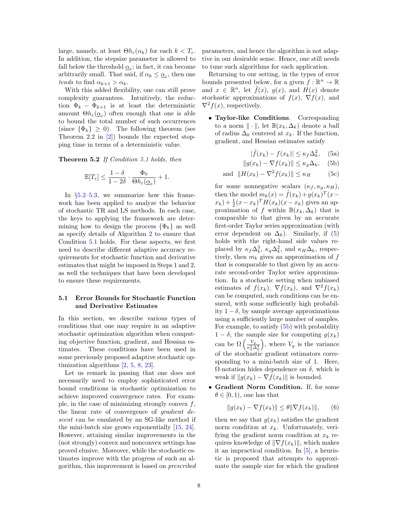large, namely, at least  $\Theta h_{\varepsilon}(\alpha_k)$  for each  $k < T_{\varepsilon}$ . In addition, the stepsize parameter is allowed to fall below the threshold  $\underline{\alpha}_{\varepsilon}$ ; in fact, it can become arbitrarily small. That said, if  $\alpha_k \leq \underline{\alpha}_{\varepsilon}$ , then one tends to find  $\alpha_{k+1} > \alpha_k$ .

With this added flexibility, one can still prove complexity guarantees. Intuitively, the reduction  $\Phi_k - \Phi_{k+1}$  is at least the deterministic amount  $\Theta h_{\varepsilon}(\underline{\alpha}_{\varepsilon})$  often enough that one is able to bound the total number of such occurrences (since  $\{\Phi_k\} \geq 0$ ). The following theorem (see Theorem 2.2 in  $[2]$  bounds the expected stopping time in terms of a deterministic value.

Theorem 5.2 If Condition 5.1 holds, then

$$
\mathbb{E}[T_{\varepsilon}] \le \frac{1-\delta}{1-2\delta} \cdot \frac{\Phi_0}{\Theta h_{\varepsilon}(\underline{\alpha}_{\varepsilon})} + 1.
$$

In §5.2–5.3, we summarize how this framework has been applied to analyze the behavior of stochastic TR and LS methods. In each case, the keys to applying the framework are determining how to design the process  $\{\Phi_k\}$  as well as specify details of Algorithm 2 to ensure that Condition 5.1 holds. For these aspects, we first need to describe different adaptive accuracy requirements for stochastic function and derivative estimates that might be imposed in Steps 1 and 2, as well the techniques that have been developed to ensure these requirements.

# 5.1 Error Bounds for Stochastic Function and Derivative Estimates

In this section, we describe various types of conditions that one may require in an adaptive stochastic optimization algorithm when computing objective function, gradient, and Hessian estimates. These conditions have been used in some previously proposed adaptive stochastic optimization algorithms [2, 5, 8, 23].

Let us remark in passing that one does not necessarily need to employ sophisticated error bound conditions in stochastic optimization to achieve improved convergence rates. For example, in the case of minimizing strongly convex  $f$ , the linear rate of convergence of gradient descent can be emulated by an SG-like method if the mini-batch size grows exponentially [15, 24]. However, attaining similar improvements in the (not strongly) convex and nonconvex settings has proved elusive. Moreover, while the stochastic estimates improve with the progress of such an algorithm, this improvement is based on prescribed parameters, and hence the algorithm is not adaptive in our desirable sense. Hence, one still needs to tune such algorithms for each application.

Returning to our setting, in the types of error bounds presented below, for a given  $f : \mathbb{R}^n \to \mathbb{R}$ and  $x \in \mathbb{R}^n$ , let  $\tilde{f}(x)$ ,  $g(x)$ , and  $H(x)$  denote stochastic approximations of  $f(x)$ ,  $\nabla f(x)$ , and  $\nabla^2 f(x)$ , respectively.

• Taylor-like Conditions. Corresponding to a norm  $\|\cdot\|$ , let  $\mathbb{B}(x_k, \Delta_k)$  denote a ball of radius  $\Delta_k$  centered at  $x_k$ . If the function, gradient, and Hessian estimates satisfy

$$
|\tilde{f}(x_k) - f(x_k)| \le \kappa_f \Delta_k^2, \quad \text{(5a)}
$$

$$
||g(x_k) - \nabla f(x_k)|| \le \kappa_g \Delta_k, \quad \text{(5b)}
$$

and 
$$
||H(x_k) - \nabla^2 f(x_k)|| \le \kappa_H
$$
 (5c)

for some nonnegative scalars  $(\kappa_f, \kappa_g, \kappa_H)$ , then the model  $m_k(x) = \tilde{f}(x_k) + g(x_k)^T(x (x_k) + \frac{1}{2}(x - x_k)^T H(x_k)(x - x_k)$  gives an approximation of f within  $\mathbb{B}(x_k, \Delta_k)$  that is comparable to that given by an accurate first-order Taylor series approximation (with error dependent on  $\Delta_k$ ). Similarly, if (5) holds with the right-hand side values replaced by  $\kappa_f \Delta_k^3$ ,  $\kappa_g \Delta_k^2$ , and  $\kappa_H \Delta_k$ , respectively, then  $m_k$  gives an approximation of  $f$ that is comparable to that given by an accurate second-order Taylor series approximation. In a stochastic setting when unbiased estimates of  $f(x_k)$ ,  $\nabla f(x_k)$ , and  $\nabla^2 f(x_k)$ can be computed, such conditions can be ensured, with some sufficiently high probability 1 − δ, by sample average approximations using a sufficiently large number of samples. For example, to satisfy (5b) with probability  $1 - \delta$ , the sample size for computing  $g(x_k)$ can be  $\Omega\left(\frac{V_g}{\kappa^2\Delta}\right)$  $\overline{\kappa_g^2 \Delta_k^2}$ ), where  $V_g$  is the variance of the stochastic gradient estimators corresponding to a mini-batch size of 1. Here, Ω-notation hides dependence on δ, which is weak if  $||g(x_k) - \nabla f(x_k)||$  is bounded.

• Gradient Norm Condition. If, for some  $\theta \in [0, 1)$ , one has that

$$
||g(x_k) - \nabla f(x_k)|| \le \theta ||\nabla f(x_k)||, \qquad (6)
$$

then we say that  $g(x_k)$  satisfies the gradient norm condition at  $x_k$ . Unfortunately, verifying the gradient norm condition at  $x_k$  requires knowledge of  $\|\nabla f(x_k)\|$ , which makes it an impractical condition. In [5], a heuristic is proposed that attempts to approximate the sample size for which the gradient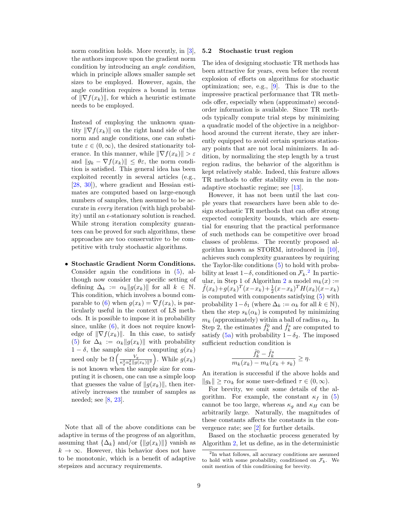norm condition holds. More recently, in [3], the authors improve upon the gradient norm condition by introducing an angle condition, which in principle allows smaller sample set sizes to be employed. However, again, the angle condition requires a bound in terms of  $\|\nabla f(x_k)\|$ , for which a heuristic estimate needs to be employed.

Instead of employing the unknown quantity  $\|\nabla f(x_k)\|$  on the right hand side of the norm and angle conditions, one can substitute  $\varepsilon \in (0,\infty)$ , the desired stationarity tolerance. In this manner, while  $\|\nabla f(x_k)\| > \varepsilon$ and  $||g_k - \nabla f(x_k)|| \leq \theta \varepsilon$ , the norm condition is satisfied. This general idea has been exploited recently in several articles (e.g., [28, 30]), where gradient and Hessian estimates are computed based on large-enough numbers of samples, then assumed to be accurate in every iteration (with high probability) until an  $\epsilon$ -stationary solution is reached. While strong iteration complexity guarantees can be proved for such algorithms, these approaches are too conservative to be competitive with truly stochastic algorithms.

• Stochastic Gradient Norm Conditions. Consider again the conditions in (5), although now consider the specific setting of defining  $\Delta_k := \alpha_k \|g(x_k)\|$  for all  $k \in \mathbb{N}$ . This condition, which involves a bound comparable to (6) when  $g(x_k) = \nabla f(x_k)$ , is particularly useful in the context of LS methods. It is possible to impose it in probability since, unlike  $(6)$ , it does not require knowledge of  $\|\nabla f(x_k)\|$ . In this case, to satisfy (5) for  $\Delta_k := \alpha_k ||g(x_k)||$  with probability  $1 - \delta$ , the sample size for computing  $g(x_k)$ need only be  $\Omega\left(\frac{V_g}{\kappa^2\alpha^2\log r}\right)$  $\overline{\kappa^2_g\alpha^2_k\|g(x_k)\|^2}$ ). While  $g(x_k)$ is not known when the sample size for computing it is chosen, one can use a simple loop that guesses the value of  $||g(x_k)||$ , then iteratively increases the number of samples as needed; see [8, 23].

Note that all of the above conditions can be adaptive in terms of the progress of an algorithm, assuming that  $\{\Delta_k\}$  and/or  $\{\|g(x_k)\|\}$  vanish as  $k \to \infty$ . However, this behavior does not have to be monotonic, which is a benefit of adaptive stepsizes and accuracy requirements.

### 5.2 Stochastic trust region

The idea of designing stochastic TR methods has been attractive for years, even before the recent explosion of efforts on algorithms for stochastic optimization; see, e.g., [9]. This is due to the impressive practical performance that TR methods offer, especially when (approximate) secondorder information is available. Since TR methods typically compute trial steps by minimizing a quadratic model of the objective in a neighborhood around the current iterate, they are inherently equipped to avoid certain spurious stationary points that are not local minimizers. In addition, by normalizing the step length by a trust region radius, the behavior of the algorithm is kept relatively stable. Indeed, this feature allows TR methods to offer stability even in the nonadaptive stochastic regime; see [13].

However, it has not been until the last couple years that researchers have been able to design stochastic TR methods that can offer strong expected complexity bounds, which are essential for ensuring that the practical performance of such methods can be competitive over broad classes of problems. The recently proposed algorithm known as STORM, introduced in [10], achieves such complexity guarantees by requiring the Taylor-like conditions (5) to hold with probability at least  $1-\delta$ , conditioned on  $\mathcal{F}_k$ .<sup>2</sup> In particular, in Step 1 of Algorithm 2 a model  $m_k(x) :=$  $\tilde{f}(x_k) + g(x_k)^T (x - x_k) + \frac{1}{2} (x - x_k)^T H(x_k) (x - x_k)$ is computed with components satisfying (5) with probability  $1-\delta_1$  (where  $\Delta_k := \alpha_k$  for all  $k \in \mathbb{N}$ ), then the step  $s_k(\alpha_k)$  is computed by minimizing  $m_k$  (approximately) within a ball of radius  $\alpha_k$ . In Step 2, the estimates  $\tilde{f}_k^0$  and  $\tilde{f}_k^s$  are computed to satisfy (5a) with probability  $1-\delta_2$ . The imposed sufficient reduction condition is

$$
\frac{\tilde{f}_k^0 - \tilde{f}_k^s}{m_k(x_k) - m_k(x_k + s_k)} \ge \eta.
$$

An iteration is successful if the above holds and  $||g_k|| \geq \tau \alpha_k$  for some user-defined  $\tau \in (0, \infty)$ .

For brevity, we omit some details of the algorithm. For example, the constant  $\kappa_f$  in (5) cannot be too large, whereas  $\kappa_q$  and  $\kappa_H$  can be arbitrarily large. Naturally, the magnitudes of these constants affects the constants in the convergence rate; see [2] for further details.

Based on the stochastic process generated by Algorithm 2, let us define, as in the deterministic

<sup>2</sup> In what follows, all accuracy conditions are assumed to hold with some probability, conditioned on  $\mathcal{F}_k$ . We omit mention of this conditioning for brevity.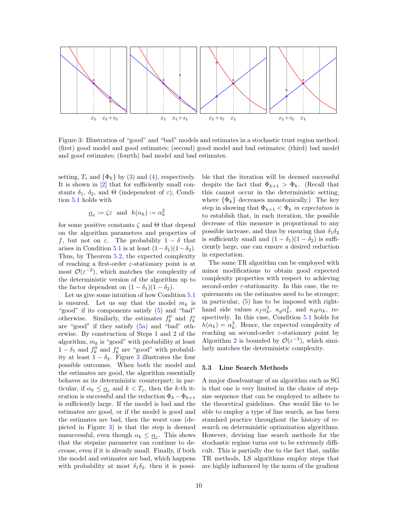

Figure 3: Illustration of "good" and "bad" models and estimates in a stochastic trust region method: (first) good model and good estimates; (second) good model and bad estimates; (third) bad model and good estimates; (fourth) bad model and bad estimates.

setting,  $T_{\varepsilon}$  and  $\{\Phi_k\}$  by (3) and (4), respectively. It is shown in [2] that for sufficiently small constants  $\delta_1$ ,  $\delta_2$ , and  $\Theta$  (independent of  $\varepsilon$ ), Condition 5.1 holds with

$$
\underline{\alpha}_{\varepsilon} := \zeta \varepsilon
$$
 and  $h(\alpha_k) := \alpha_k^2$ 

for some positive constants  $\zeta$  and  $\Theta$  that depend on the algorithm parameters and properties of f, but not on  $\varepsilon$ . The probability  $1 - \delta$  that arises in Condition 5.1 is at least  $(1-\delta_1)(1-\delta_2)$ . Thus, by Theorem 5.2, the expected complexity of reaching a first-order  $\varepsilon$ -stationary point is at most  $\mathcal{O}(\varepsilon^{-2})$ , which matches the complexity of the deterministic version of the algorithm up to the factor dependent on  $(1 - \delta_1)(1 - \delta_2)$ .

Let us give some intuition of how Condition 5.1 is ensured. Let us say that the model  $m_k$  is "good" if its components satisfy (5) and "bad" otherwise. Similarly, the estimates  $f_k^0$  and  $f_k^s$ are "good" if they satisfy (5a) and "bad" otherwise. By construction of Steps 1 and 2 of the algorithm,  $m_k$  is "good" with probability at least  $1 - \delta_1$  and  $f_k^0$  and  $f_k^s$  are "good" with probability at least  $1 - \delta_2$ . Figure 3 illustrates the four possible outcomes. When both the model and the estimates are good, the algorithm essentially behaves as its deterministic counterpart; in particular, if  $\alpha_k \leq \underline{\alpha}_{\varepsilon}$  and  $k < T_{\varepsilon}$ , then the k-th iteration is successful and the reduction  $\Phi_k - \Phi_{k+1}$ is sufficiently large. If the model is bad and the estimates are good, or if the model is good and the estimates are bad, then the worst case (depicted in Figure 3) is that the step is deemed unsuccessful, even though  $\alpha_k \leq \underline{\alpha}_{\varepsilon}$ . This shows that the stepsize parameter can continue to decrease, even if it is already small. Finally, if both the model and estimates are bad, which happens with probability at most  $\delta_1 \delta_2$ , then it is possible that the iteration will be deemed successful despite the fact that  $\Phi_{k+1} > \Phi_k$ . (Recall that this cannot occur in the deterministic setting, where  $\{\Phi_k\}$  decreases monotonically.) The key step in showing that  $\Phi_{k+1} < \Phi_k$  in expectation is to establish that, in each iteration, the possible decrease of this measure is proportional to any possible increase, and thus by ensuring that  $\delta_1 \delta_2$ is sufficiently small and  $(1 - \delta_1)(1 - \delta_2)$  is sufficiently large, one can ensure a desired reduction in expectation.

The same TR algorithm can be employed with minor modifications to obtain good expected complexity properties with respect to achieving second-order  $\varepsilon$ -stationarity. In this case, the requirements on the estimates need to be stronger; in particular, (5) has to be imposed with righthand side values  $\kappa_f \alpha_k^3$ ,  $\kappa_g \alpha_k^2$ , and  $\kappa_H \alpha_k$ , respectively. In this case, Condition 5.1 holds for  $h(\alpha_k) = \alpha_k^3$ . Hence, the expected complexity of reaching an second-order  $\varepsilon$ -stationary point by Algorithm 2 is bounded by  $\mathcal{O}(\varepsilon^{-3})$ , which similarly matches the deterministic complexity.

# 5.3 Line Search Methods

A major disadvantage of an algorithm such as SG is that one is very limited in the choice of stepsize sequence that can be employed to adhere to the theoretical guidelines. One would like to be able to employ a type of line search, as has been standard practice throughout the history of research on deterministic optimization algorithms. However, devising line search methods for the stochastic regime turns out to be extremely difficult. This is partially due to the fact that, unlike TR methods, LS algorithms employ steps that are highly influenced by the norm of the gradient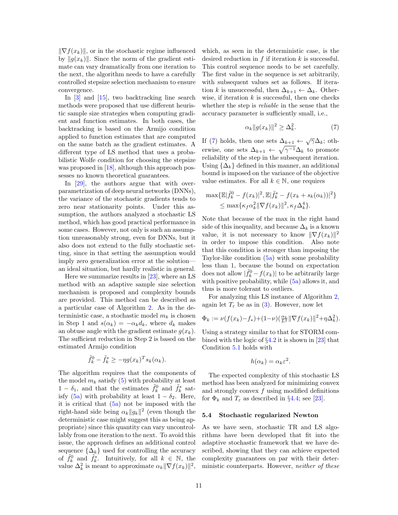$\|\nabla f(x_k)\|$ , or in the stochastic regime influenced by  $||g(x_k)||$ . Since the norm of the gradient estimate can vary dramatically from one iteration to the next, the algorithm needs to have a carefully controlled stepsize selection mechanism to ensure convergence.

In [3] and [15], two backtracking line search methods were proposed that use different heuristic sample size strategies when computing gradient and function estimates. In both cases, the backtracking is based on the Armijo condition applied to function estimates that are computed on the same batch as the gradient estimates. A different type of LS method that uses a probabilistic Wolfe condition for choosing the stepsize was proposed in [18], although this approach possesses no known theoretical guarantees.

In [29], the authors argue that with overparametrization of deep neural networks (DNNs), the variance of the stochastic gradients tends to zero near stationarity points. Under this assumption, the authors analyzed a stochastic LS method, which has good practical performance in some cases. However, not only is such an assumption unreasonably strong, even for DNNs, but it also does not extend to the fully stochastic setting, since in that setting the assumption would imply zero generalization error at the solution an ideal situation, but hardly realistic in general.

Here we summarize results in [23], where an LS method with an adaptive sample size selection mechanism is proposed and complexity bounds are provided. This method can be described as a particular case of Algorithm 2. As in the deterministic case, a stochastic model  $m_k$  is chosen in Step 1 and  $s(\alpha_k) = -\alpha_k d_k$ , where  $d_k$  makes an obtuse angle with the gradient estimate  $g(x_k)$ . The sufficient reduction in Step 2 is based on the estimated Armijo condition

$$
\tilde{f}_k^0 - \tilde{f}_k^s \ge -\eta g(x_k)^T s_k(\alpha_k).
$$

The algorithm requires that the components of the model  $m_k$  satisfy (5) with probability at least  $1 - \delta_1$ , and that the estimates  $\tilde{f}_k^0$  and  $\tilde{f}_k^s$  satisfy (5a) with probability at least  $1 - \delta_2$ . Here, it is critical that (5a) not be imposed with the right-hand side being  $\alpha_k ||g_k||^2$  (even though the deterministic case might suggest this as being appropriate) since this quantity can vary uncontrollably from one iteration to the next. To avoid this issue, the approach defines an additional control sequence  $\{\Delta_k\}$  used for controlling the accuracy of  $\tilde{f}_k^0$  and  $\tilde{f}_k^s$ . Intuitively, for all  $k \in \mathbb{N}$ , the value  $\Delta_k^2$  is meant to approximate  $\alpha_k \|\nabla f(x_k)\|^2$ ,

which, as seen in the deterministic case, is the desired reduction in  $f$  if iteration  $k$  is successful. This control sequence needs to be set carefully. The first value in the sequence is set arbitrarily, with subsequent values set as follows. If iteration k is unsuccessful, then  $\Delta_{k+1} \leftarrow \Delta_k$ . Otherwise, if iteration  $k$  is successful, then one checks whether the step is *reliable* in the sense that the accuracy parameter is sufficiently small, i.e.,

$$
\alpha_k \|g(x_k)\|^2 \ge \Delta_k^2. \tag{7}
$$

If (7) holds, then one sets  $\Delta_{k+1} \leftarrow \sqrt{\gamma} \Delta_k$ ; otherwise, one sets  $\Delta_{k+1} \leftarrow \sqrt{\gamma^{-1}} \Delta_k$  to promote reliability of the step in the subsequent iteration. Using  $\{\Delta_k\}$  defined in this manner, an additional bound is imposed on the variance of the objective value estimates. For all  $k \in \mathbb{N}$ , one requires

$$
\max{\mathbb{E}|\tilde{f}_k^0 - f(x_k)|^2, \mathbb{E}|\tilde{f}_k^s - f(x_k + s_k(\alpha_k))|^2}
$$
  

$$
\leq \max{\kappa_f \alpha_k^2 \|\nabla f(x_k)\|^2, \kappa_f \Delta_k^4}.
$$

Note that because of the max in the right hand side of this inequality, and because  $\Delta_k$  is a known value, it is not necessary to know  $\|\nabla f(x_k)\|^2$ in order to impose this condition. Also note that this condition is stronger than imposing the Taylor-like condition (5a) with some probability less than 1, because the bound on expectation does not allow  $|\tilde{f}_k^0 - f(x_k)|$  to be arbitrarily large with positive probability, while (5a) allows it, and thus is more tolerant to outliers.

For analyzing this LS instance of Algorithm 2, again let  $T_{\varepsilon}$  be as in (3). However, now let

$$
\Phi_k := \nu(f(x_k) - f_*) + (1 - \nu) \left( \frac{\alpha_k}{L^2} \|\nabla f(x_k)\|^2 + \eta \Delta_k^2 \right).
$$

Using a strategy similar to that for STORM combined with the logic of §4.2 it is shown in [23] that Condition 5.1 holds with

$$
h(\alpha_k) = \alpha_k \varepsilon^2.
$$

The expected complexity of this stochastic LS method has been analyzed for minimizing convex and strongly convex  $f$  using modified definitions for  $\Phi_k$  and  $T_{\varepsilon}$  as described in §4.4; see [23].

## 5.4 Stochastic regularized Newton

As we have seen, stochastic TR and LS algorithms have been developed that fit into the adaptive stochastic framework that we have described, showing that they can achieve expected complexity guarantees on par with their deterministic counterparts. However, neither of these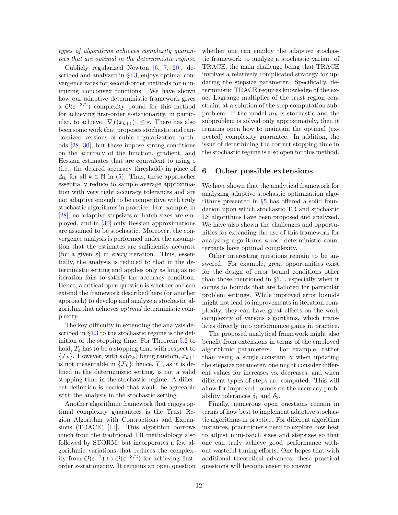types of algorithms achieves complexity guarantees that are optimal in the deterministic regime.

Cublicly regularized Newton [6, 7, 20], described and analyzed in §4.3, enjoys optimal convergence rates for second-order methods for minimizing nonconvex functions. We have shown how our adaptive deterministic framework gives a  $\mathcal{O}(\varepsilon^{-3/2})$  complexity bound for this method for achieving first-order  $\varepsilon$ -stationarity, in particular, to achieve  $\|\nabla f(x_{k+1})\| \leq \varepsilon$ . There has also been some work that proposes stochastic and randomized versions of cubic regularization methods [28, 30], but these impose strong conditions on the accuracy of the function, gradient, and Hessian estimates that are equivalent to using  $\varepsilon$ (i.e., the desired accuracy threshold) in place of  $\Delta_k$  for all  $k \in \mathbb{N}$  in (5). Thus, these approaches essentially reduce to sample average approximation with very tight accuracy tolerances and are not adaptive enough to be competitive with truly stochastic algorithms in practice. For example, in [28], no adaptive stepsizes or batch sizes are employed, and in [30] only Hessian approximations are assumed to be stochastic. Moreover, the convergence analysis is performed under the assumption that the estimates are sufficiently accurate (for a given  $\varepsilon$ ) in *every* iteration. Thus, essentially, the analysis is reduced to that in the deterministic setting and applies only as long as no iteration fails to satisfy the accuracy condition. Hence, a critical open question is whether one can extend the framework described here (or another approach) to develop and analyze a stochastic algorithm that achieves optimal deterministic complexity.

The key difficulty in extending the analysis described in  $\S4.3$  to the stochastic regime is the definition of the stopping time. For Theorem 5.2 to hold,  $T_{\varepsilon}$  has to be a stopping time with respect to  $\{\mathcal{F}_k\}.$  However, with  $s_k(\alpha_k)$  being random,  $x_{k+1}$ is not measurable in  $\{\mathcal{F}_k\}$ ; hence,  $T_\varepsilon$ , as it is defined in the deterministic setting, is not a valid stopping time in the stochastic regime. A different definition is needed that would be agreeable with the analysis in the stochastic setting.

Another algorithmic framework that enjoys optimal complexity guarantees is the Trust Region Algorithm with Contractions and Expansions (TRACE) [11]. This algorithm borrows much from the traditional TR methodology also followed by STORM, but incorporates a few algorithmic variations that reduces the complexity from  $\mathcal{O}(\varepsilon^{-2})$  to  $\mathcal{O}(\varepsilon^{-3/2})$  for achieving firstorder  $\varepsilon$ -stationarity. It remains an open question

whether one can employ the adaptive stochastic framework to analyze a stochastic variant of TRACE, the main challenge being that TRACE involves a relatively complicated strategy for updating the stepsize parameter. Specifically, deterministic TRACE requires knowledge of the exact Lagrange multiplier of the trust region constraint at a solution of the step computation subproblem. If the model  $m_k$  is stochastic and the subproblem is solved only approximately, then it remains open how to maintain the optimal (expected) complexity guarantee. In addition, the issue of determining the correct stopping time in the stochastic regime is also open for this method.

# 6 Other possible extensions

We have shown that the analytical framework for analyzing adaptive stochastic optimization algorithms presented in §5 has offered a solid foundation upon which stochastic TR and stochastic LS algorithms have been proposed and analyzed. We have also shown the challenges and opportunities for extending the use of this framework for analyzing algorithms whose deterministic counterparts have optimal complexity.

Other interesting questions remain to be answered. For example, great opportunities exist for the design of error bound conditions other than those mentioned in §5.1, especially when it comes to bounds that are tailored for particular problem settings. While improved error bounds might not lead to improvements in iteration complexity, they can have great effects on the work complexity of various algorithms, which translates directly into performance gains in practice.

The proposed analytical framework might also benefit from extensions in terms of the employed algorithmic parameters. For example, rather than using a single constant  $\gamma$  when updating the stepsize parameter, one might consider different values for increases vs. decreases, and when different types of steps are computed. This will allow for improved bounds on the accuracy probability tolerances  $\delta_1$  and  $\delta_2$ .

Finally, numerous open questions remain in terms of how best to implement adaptive stochastic algorithms in practice. For different algorithm instances, practitioners need to explore how best to adjust mini-batch sizes and stepsizes so that one can truly achieve good performance without wasteful tuning efforts. One hopes that with additional theoretical advances, these practical questions will become easier to answer.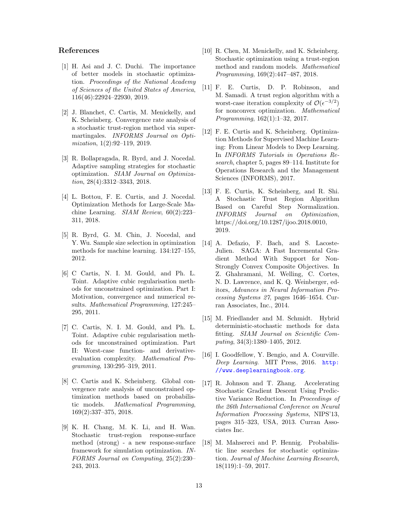# References

- [1] H. Asi and J. C. Duchi. The importance of better models in stochastic optimization. Proceedings of the National Academy of Sciences of the United States of America, 116(46):22924–22930, 2019.
- [2] J. Blanchet, C. Cartis, M. Menickelly, and K. Scheinberg. Convergence rate analysis of a stochastic trust-region method via supermartingales. INFORMS Journal on Optimization, 1(2):92–119, 2019.
- [3] R. Bollapragada, R. Byrd, and J. Nocedal. Adaptive sampling strategies for stochastic optimization. SIAM Journal on Optimization, 28(4):3312–3343, 2018.
- [4] L. Bottou, F. E. Curtis, and J. Nocedal. Optimization Methods for Large-Scale Machine Learning. SIAM Review, 60(2):223– 311, 2018.
- [5] R. Byrd, G. M. Chin, J. Nocedal, and Y. Wu. Sample size selection in optimization methods for machine learning. 134:127–155, 2012.
- [6] C Cartis, N. I. M. Gould, and Ph. L. Toint. Adaptive cubic regularisation methods for unconstrained optimization. Part I: Motivation, convergence and numerical results. Mathematical Programming, 127:245– 295, 2011.
- [7] C. Cartis, N. I. M. Gould, and Ph. L. Toint. Adaptive cubic regularisation methods for unconstrained optimization. Part II: Worst-case function- and derivativeevaluation complexity. Mathematical Programming, 130:295–319, 2011.
- [8] C. Cartis and K. Scheinberg. Global convergence rate analysis of unconstrained optimization methods based on probabilistic models. Mathematical Programming, 169(2):337–375, 2018.
- [9] K. H. Chang, M. K. Li, and H. Wan. Stochastic trust-region response-surface method (strong) - a new response-surface framework for simulation optimization. IN-FORMS Journal on Computing, 25(2):230– 243, 2013.
- [10] R. Chen, M. Menickelly, and K. Scheinberg. Stochastic optimization using a trust-region method and random models. Mathematical Programming, 169(2):447–487, 2018.
- [11] F. E. Curtis, D. P. Robinson, and M. Samadi. A trust region algorithm with a worst-case iteration complexity of  $\mathcal{O}(\epsilon^{-3/2})$ for nonconvex optimization. Mathematical Programming, 162(1):1–32, 2017.
- [12] F. E. Curtis and K. Scheinberg. Optimization Methods for Supervised Machine Learning: From Linear Models to Deep Learning. In INFORMS Tutorials in Operations Research, chapter 5, pages 89–114. Institute for Operations Research and the Management Sciences (INFORMS), 2017.
- [13] F. E. Curtis, K. Scheinberg, and R. Shi. A Stochastic Trust Region Algorithm Based on Careful Step Normalization. INFORMS Journal on Optimization, https://doi.org/10.1287/ijoo.2018.0010, 2019.
- [14] A. Defazio, F. Bach, and S. Lacoste-Julien. SAGA: A Fast Incremental Gradient Method With Support for Non-Strongly Convex Composite Objectives. In Z. Ghahramani, M. Welling, C. Cortes, N. D. Lawrence, and K. Q. Weinberger, editors, Advances in Neural Information Processing Systems 27, pages 1646–1654. Curran Associates, Inc., 2014.
- [15] M. Friedlander and M. Schmidt. Hybrid deterministic-stochastic methods for data fitting. SIAM Journal on Scientific Computing, 34(3):1380–1405, 2012.
- [16] I. Goodfellow, Y. Bengio, and A. Courville. Deep Learning. MIT Press, 2016. http: //www.deeplearningbook.org.
- [17] R. Johnson and T. Zhang. Accelerating Stochastic Gradient Descent Using Predictive Variance Reduction. In Proceedings of the 26th International Conference on Neural Information Processing Systems, NIPS'13, pages 315–323, USA, 2013. Curran Associates Inc.
- [18] M. Mahsereci and P. Hennig. Probabilistic line searches for stochastic optimization. Journal of Machine Learning Research, 18(119):1–59, 2017.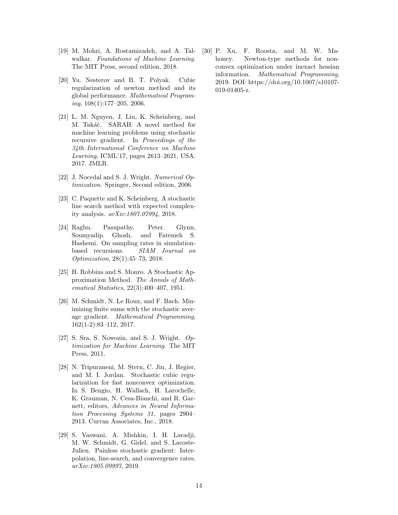- [19] M. Mohri, A. Rostamizadeh, and A. Talwalkar. Foundations of Machine Learning. The MIT Press, second edition, 2018.
- [20] Yu. Nesterov and B. T. Polyak. Cubic regularization of newton method and its global performance. Mathematical Programing, 108(1):177–205, 2006.
- [21] L. M. Nguyen, J. Liu, K. Scheinberg, and M. Takáč. SARAH: A novel method for machine learning problems using stochastic recursive gradient. In Proceedings of the 34th International Conference on Machine Learning, ICML'17, pages 2613–2621, USA, 2017. JMLR.
- [22] J. Nocedal and S. J. Wright. Numerical Optimization. Springer, Second edition, 2006.
- [23] C. Paquette and K. Scheinberg. A stochastic line search method with expected complexity analysis. arXiv:1807.07994, 2018.
- [24] Raghu. Pasupathy, Peter. Glynn, Soumyadip. Ghosh, and Fatemeh S. Hashemi. On sampling rates in simulationbased recursions. SIAM Journal on Optimization, 28(1):45–73, 2018.
- [25] H. Robbins and S. Monro. A Stochastic Approximation Method. The Annals of Mathematical Statistics, 22(3):400–407, 1951.
- [26] M. Schmidt, N. Le Roux, and F. Bach. Minimizing finite sums with the stochastic average gradient. Mathematical Programming, 162(1-2):83–112, 2017.
- [27] S. Sra, S. Nowozin, and S. J. Wright.  $Op$ timization for Machine Learning. The MIT Press, 2011.
- [28] N. Tripuraneni, M. Stern, C. Jin, J. Regier, and M. I. Jordan. Stochastic cubic regularization for fast nonconvex optimization. In S. Bengio, H. Wallach, H. Larochelle, K. Grauman, N. Cesa-Bianchi, and R. Garnett, editors, Advances in Neural Information Processing Systems 31, pages 2904– 2913. Curran Associates, Inc., 2018.
- [29] S. Vaswani, A. Mishkin, I. H. Laradji, M. W. Schmidt, G. Gidel, and S. Lacoste-Julien. Painless stochastic gradient: Interpolation, line-search, and convergence rates. arXiv:1905.09997, 2019.

[30] P. Xu, F. Roosta, and M. W. Mahoney. Newton-type methods for nonconvex optimization under inexact hessian information. Mathematical Programming, 2019. DOI: https://doi.org/10.1007/s10107- 019-01405-z.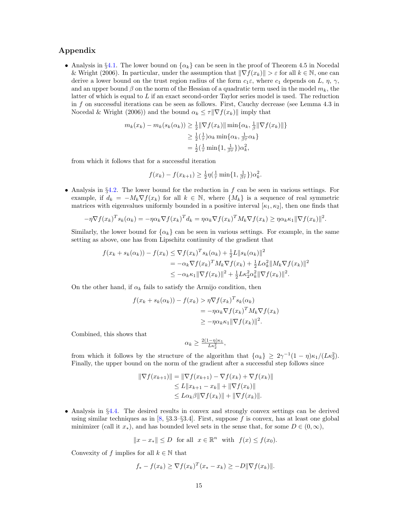# Appendix

• Analysis in §4.1. The lower bound on  $\{\alpha_k\}$  can be seen in the proof of Theorem 4.5 in Nocedal & Wright (2006). In particular, under the assumption that  $\|\nabla f(x_k)\| > \varepsilon$  for all  $k \in \mathbb{N}$ , one can derive a lower bound on the trust region radius of the form  $c_1 \varepsilon$ , where  $c_1$  depends on L,  $\eta$ ,  $\gamma$ , and an upper bound  $\beta$  on the norm of the Hessian of a quadratic term used in the model  $m_k$ , the latter of which is equal to  $L$  if an exact second-order Taylor series model is used. The reduction in f on successful iterations can be seen as follows. First, Cauchy decrease (see Lemma 4.3 in Nocedal & Wright (2006)) and the bound  $\alpha_k \leq \tau \|\nabla f(x_k)\|$  imply that

$$
m_k(x_k) - m_k(s_k(\alpha_k)) \ge \frac{1}{2} \|\nabla f(x_k)\| \min\{\alpha_k, \frac{1}{\beta} \|\nabla f(x_k)\|\}
$$
  

$$
\ge \frac{1}{2} (\frac{1}{\tau}) \alpha_k \min\{\alpha_k, \frac{1}{\beta \tau} \alpha_k\}
$$
  

$$
= \frac{1}{2} (\frac{1}{\tau} \min\{1, \frac{1}{\beta \tau}\}) \alpha_k^2,
$$

from which it follows that for a successful iteration

$$
f(x_k) - f(x_{k+1}) \ge \frac{1}{2} \eta(\frac{1}{\tau} \min\{1, \frac{1}{\beta \tau}\}) \alpha_k^2.
$$

• Analysis in §4.2. The lower bound for the reduction in  $f$  can be seen in various settings. For example, if  $d_k = -M_k \nabla f(x_k)$  for all  $k \in \mathbb{N}$ , where  $\{M_k\}$  is a sequence of real symmetric matrices with eigenvalues uniformly bounded in a positive interval  $[\kappa_1, \kappa_2]$ , then one finds that

$$
-\eta \nabla f(x_k)^T s_k(\alpha_k) = -\eta \alpha_k \nabla f(x_k)^T d_k = \eta \alpha_k \nabla f(x_k)^T M_k \nabla f(x_k) \ge \eta \alpha_k \kappa_1 ||\nabla f(x_k)||^2.
$$

Similarly, the lower bound for  $\{\alpha_k\}$  can be seen in various settings. For example, in the same setting as above, one has from Lipschitz continuity of the gradient that

$$
f(x_k + s_k(\alpha_k)) - f(x_k) \leq \nabla f(x_k)^T s_k(\alpha_k) + \frac{1}{2}L \|s_k(\alpha_k)\|^2
$$
  
=  $-\alpha_k \nabla f(x_k)^T M_k \nabla f(x_k) + \frac{1}{2}L\alpha_k^2 \|M_k \nabla f(x_k)\|^2$   
 $\leq -\alpha_k \kappa_1 \|\nabla f(x_k)\|^2 + \frac{1}{2}L\kappa_2^2 \alpha_k^2 \|\nabla f(x_k)\|^2.$ 

On the other hand, if  $\alpha_k$  fails to satisfy the Armijo condition, then

$$
f(x_k + s_k(\alpha_k)) - f(x_k) > \eta \nabla f(x_k)^T s_k(\alpha_k)
$$
  
=  $-\eta \alpha_k \nabla f(x_k)^T M_k \nabla f(x_k)$   
 $\geq -\eta \alpha_k \kappa_1 ||\nabla f(x_k)||^2.$ 

Combined, this shows that

$$
\alpha_k \geq \tfrac{2(1-\eta)\kappa_1}{L\kappa_2^2},
$$

from which it follows by the structure of the algorithm that  $\{\alpha_k\} \geq 2\gamma^{-1}(1-\eta)\kappa_1/(L\kappa_2^2)$ . Finally, the upper bound on the norm of the gradient after a successful step follows since

$$
\|\nabla f(x_{k+1})\| = \|\nabla f(x_{k+1}) - \nabla f(x_k) + \nabla f(x_k)\|
$$
  
\n
$$
\leq L \|x_{k+1} - x_k\| + \|\nabla f(x_k)\|
$$
  
\n
$$
\leq L \alpha_k \beta \|\nabla f(x_k)\| + \|\nabla f(x_k)\|.
$$

• Analysis in §4.4. The desired results in convex and strongly convex settings can be derived using similar techniques as in  $[8, \S3.3-\S3.4]$ . First, suppose f is convex, has at least one global minimizer (call it  $x_*$ ), and has bounded level sets in the sense that, for some  $D \in (0,\infty)$ ,

 $||x - x_*|| \le D$  for all  $x \in \mathbb{R}^n$  with  $f(x) \le f(x_0)$ .

Convexity of f implies for all  $k \in \mathbb{N}$  that

$$
f_* - f(x_k) \ge \nabla f(x_k)^T (x_* - x_k) \ge -D ||\nabla f(x_k)||.
$$